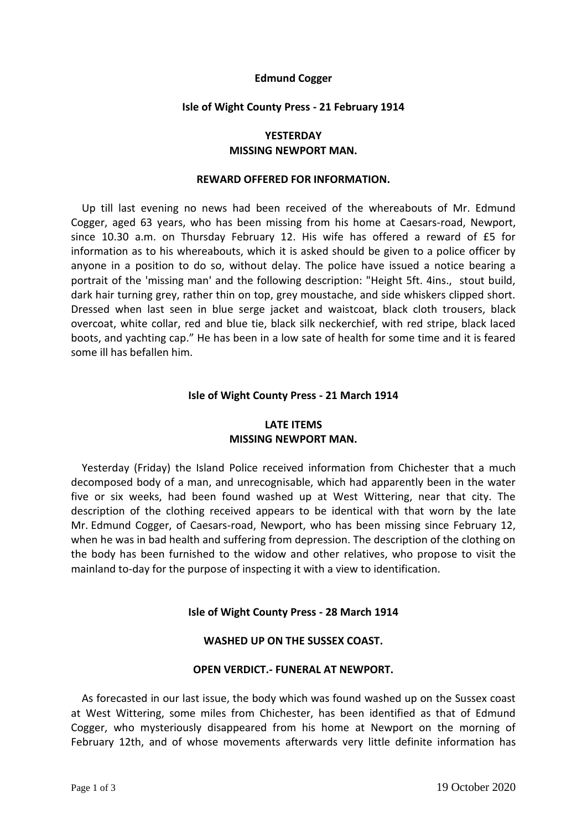## **Edmund Cogger**

### **Isle of Wight County Press - 21 February 1914**

# **YESTERDAY MISSING NEWPORT MAN.**

#### **REWARD OFFERED FOR INFORMATION.**

Up till last evening no news had been received of the whereabouts of Mr. Edmund Cogger, aged 63 years, who has been missing from his home at Caesars-road, Newport, since 10.30 a.m. on Thursday February 12. His wife has offered a reward of £5 for information as to his whereabouts, which it is asked should be given to a police officer by anyone in a position to do so, without delay. The police have issued a notice bearing a portrait of the 'missing man' and the following description: "Height 5ft. 4ins., stout build, dark hair turning grey, rather thin on top, grey moustache, and side whiskers clipped short. Dressed when last seen in blue serge jacket and waistcoat, black cloth trousers, black overcoat, white collar, red and blue tie, black silk neckerchief, with red stripe, black laced boots, and yachting cap." He has been in a low sate of health for some time and it is feared some ill has befallen him.

### **Isle of Wight County Press - 21 March 1914**

# **LATE ITEMS MISSING NEWPORT MAN.**

Yesterday (Friday) the Island Police received information from Chichester that a much decomposed body of a man, and unrecognisable, which had apparently been in the water five or six weeks, had been found washed up at West Wittering, near that city. The description of the clothing received appears to be identical with that worn by the late Mr. Edmund Cogger, of Caesars-road, Newport, who has been missing since February 12, when he was in bad health and suffering from depression. The description of the clothing on the body has been furnished to the widow and other relatives, who propose to visit the mainland to-day for the purpose of inspecting it with a view to identification.

### **Isle of Wight County Press - 28 March 1914**

# **WASHED UP ON THE SUSSEX COAST.**

### **OPEN VERDICT.- FUNERAL AT NEWPORT.**

As forecasted in our last issue, the body which was found washed up on the Sussex coast at West Wittering, some miles from Chichester, has been identified as that of Edmund Cogger, who mysteriously disappeared from his home at Newport on the morning of February 12th, and of whose movements afterwards very little definite information has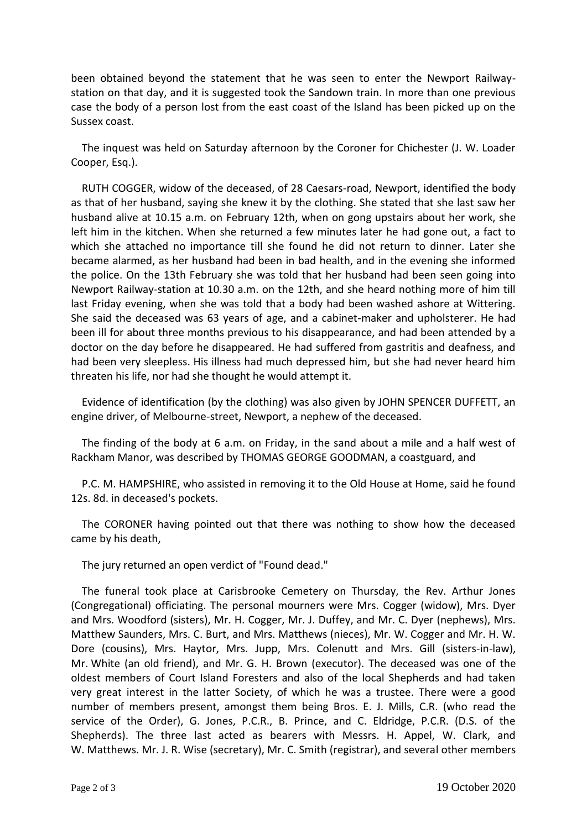been obtained beyond the statement that he was seen to enter the Newport Railwaystation on that day, and it is suggested took the Sandown train. In more than one previous case the body of a person lost from the east coast of the Island has been picked up on the Sussex coast.

 The inquest was held on Saturday afternoon by the Coroner for Chichester (J. W. Loader Cooper, Esq.).

 RUTH COGGER, widow of the deceased, of 28 Caesars-road, Newport, identified the body as that of her husband, saying she knew it by the clothing. She stated that she last saw her husband alive at 10.15 a.m. on February 12th, when on gong upstairs about her work, she left him in the kitchen. When she returned a few minutes later he had gone out, a fact to which she attached no importance till she found he did not return to dinner. Later she became alarmed, as her husband had been in bad health, and in the evening she informed the police. On the 13th February she was told that her husband had been seen going into Newport Railway-station at 10.30 a.m. on the 12th, and she heard nothing more of him till last Friday evening, when she was told that a body had been washed ashore at Wittering. She said the deceased was 63 years of age, and a cabinet-maker and upholsterer. He had been ill for about three months previous to his disappearance, and had been attended by a doctor on the day before he disappeared. He had suffered from gastritis and deafness, and had been very sleepless. His illness had much depressed him, but she had never heard him threaten his life, nor had she thought he would attempt it.

 Evidence of identification (by the clothing) was also given by JOHN SPENCER DUFFETT, an engine driver, of Melbourne-street, Newport, a nephew of the deceased.

 The finding of the body at 6 a.m. on Friday, in the sand about a mile and a half west of Rackham Manor, was described by THOMAS GEORGE GOODMAN, a coastguard, and

 P.C. M. HAMPSHIRE, who assisted in removing it to the Old House at Home, said he found 12s. 8d. in deceased's pockets.

 The CORONER having pointed out that there was nothing to show how the deceased came by his death,

The jury returned an open verdict of "Found dead."

 The funeral took place at Carisbrooke Cemetery on Thursday, the Rev. Arthur Jones (Congregational) officiating. The personal mourners were Mrs. Cogger (widow), Mrs. Dyer and Mrs. Woodford (sisters), Mr. H. Cogger, Mr. J. Duffey, and Mr. C. Dyer (nephews), Mrs. Matthew Saunders, Mrs. C. Burt, and Mrs. Matthews (nieces), Mr. W. Cogger and Mr. H. W. Dore (cousins), Mrs. Haytor, Mrs. Jupp, Mrs. Colenutt and Mrs. Gill (sisters-in-law), Mr. White (an old friend), and Mr. G. H. Brown (executor). The deceased was one of the oldest members of Court Island Foresters and also of the local Shepherds and had taken very great interest in the latter Society, of which he was a trustee. There were a good number of members present, amongst them being Bros. E. J. Mills, C.R. (who read the service of the Order), G. Jones, P.C.R., B. Prince, and C. Eldridge, P.C.R. (D.S. of the Shepherds). The three last acted as bearers with Messrs. H. Appel, W. Clark, and W. Matthews. Mr. J. R. Wise (secretary), Mr. C. Smith (registrar), and several other members